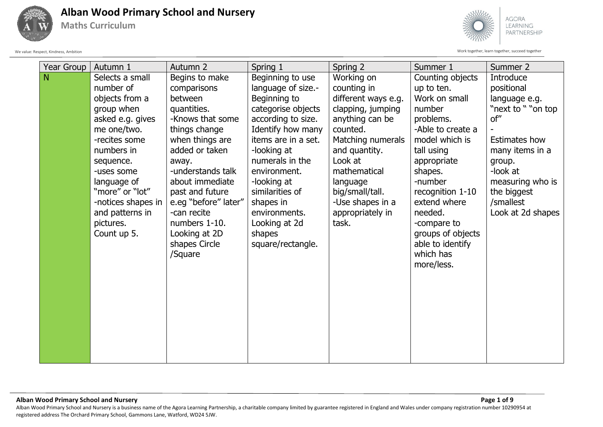

**Maths Curriculum**



We value: Respect, Kindness, Ambition Work together, learn together, succeed together

| Year Group | Autumn 1           | Autumn <sub>2</sub>  | Spring 1            | Spring 2            | Summer 1          | Summer 2           |
|------------|--------------------|----------------------|---------------------|---------------------|-------------------|--------------------|
| N          | Selects a small    | Begins to make       | Beginning to use    | Working on          | Counting objects  | Introduce          |
|            | number of          | comparisons          | language of size.-  | counting in         | up to ten.        | positional         |
|            | objects from a     | between              | Beginning to        | different ways e.g. | Work on small     | language e.g.      |
|            | group when         | quantities.          | categorise objects  | clapping, jumping   | number            | "next to " "on top |
|            | asked e.g. gives   | -Knows that some     | according to size.  | anything can be     | problems.         | of"                |
|            | me one/two.        | things change        | Identify how many   | counted.            | -Able to create a |                    |
|            | -recites some      | when things are      | items are in a set. | Matching numerals   | model which is    | Estimates how      |
|            | numbers in         | added or taken       | -looking at         | and quantity.       | tall using        | many items in a    |
|            | sequence.          | away.                | numerals in the     | Look at             | appropriate       | group.             |
|            | -uses some         | -understands talk    | environment.        | mathematical        | shapes.           | -look at           |
|            | language of        | about immediate      | -looking at         | language            | -number           | measuring who is   |
|            | "more" or "lot"    | past and future      | similarities of     | big/small/tall.     | recognition 1-10  | the biggest        |
|            | -notices shapes in | e.eg "before" later" | shapes in           | -Use shapes in a    | extend where      | /smallest          |
|            | and patterns in    | -can recite          | environments.       | appropriately in    | needed.           | Look at 2d shapes  |
|            | pictures.          | numbers 1-10.        | Looking at 2d       | task.               | -compare to       |                    |
|            | Count up 5.        | Looking at 2D        | shapes              |                     | groups of objects |                    |
|            |                    | shapes Circle        | square/rectangle.   |                     | able to identify  |                    |
|            |                    | /Square              |                     |                     | which has         |                    |
|            |                    |                      |                     |                     | more/less.        |                    |
|            |                    |                      |                     |                     |                   |                    |
|            |                    |                      |                     |                     |                   |                    |
|            |                    |                      |                     |                     |                   |                    |
|            |                    |                      |                     |                     |                   |                    |
|            |                    |                      |                     |                     |                   |                    |
|            |                    |                      |                     |                     |                   |                    |
|            |                    |                      |                     |                     |                   |                    |
|            |                    |                      |                     |                     |                   |                    |
|            |                    |                      |                     |                     |                   |                    |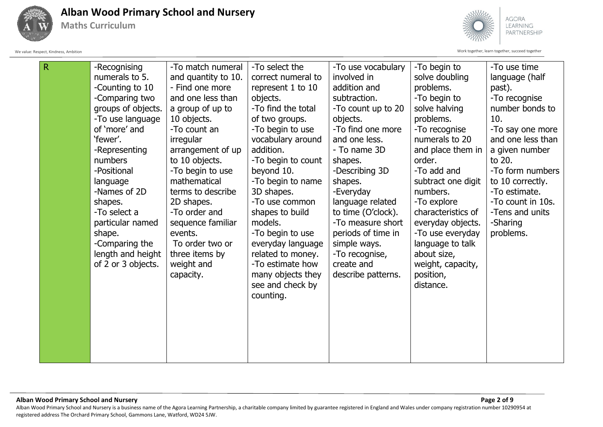

**Maths Curriculum**



We value: Respect, Kindness, Ambition Work together, learn together, succeed together

| R | -Recognising<br>numerals to 5.<br>-Counting to 10<br>-Comparing two<br>groups of objects.<br>-To use language<br>of 'more' and<br>'fewer'.<br>-Representing<br>numbers<br>-Positional<br>language<br>-Names of 2D<br>shapes.<br>-To select a<br>particular named<br>shape.<br>-Comparing the<br>length and height<br>of 2 or 3 objects. | -To match numeral<br>and quantity to 10.<br>- Find one more<br>and one less than<br>a group of up to<br>10 objects.<br>-To count an<br>irregular<br>arrangement of up<br>to 10 objects.<br>-To begin to use<br>mathematical<br>terms to describe<br>2D shapes.<br>-To order and<br>sequence familiar<br>events.<br>To order two or<br>three items by<br>weight and<br>capacity. | -To select the<br>correct numeral to<br>represent 1 to 10<br>objects.<br>-To find the total<br>of two groups.<br>-To begin to use<br>vocabulary around<br>addition.<br>-To begin to count<br>beyond 10.<br>-To begin to name<br>3D shapes.<br>-To use common<br>shapes to build<br>models.<br>-To begin to use<br>everyday language<br>related to money.<br>-To estimate how<br>many objects they<br>see and check by<br>counting. | -To use vocabulary<br>involved in<br>addition and<br>subtraction.<br>-To count up to 20<br>objects.<br>-To find one more<br>and one less.<br>- To name 3D<br>shapes.<br>-Describing 3D<br>shapes.<br>-Everyday<br>language related<br>to time (O'clock).<br>-To measure short<br>periods of time in<br>simple ways.<br>-To recognise,<br>create and<br>describe patterns. | -To begin to<br>solve doubling<br>problems.<br>-To begin to<br>solve halving<br>problems.<br>-To recognise<br>numerals to 20<br>and place them in<br>order.<br>-To add and<br>subtract one digit<br>numbers.<br>-To explore<br>characteristics of<br>everyday objects.<br>-To use everyday<br>language to talk<br>about size,<br>weight, capacity,<br>position,<br>distance. | -To use time<br>language (half<br>past).<br>-To recognise<br>number bonds to<br>10.<br>-To say one more<br>and one less than<br>a given number<br>to 20.<br>-To form numbers<br>to 10 correctly.<br>-To estimate.<br>-To count in 10s.<br>-Tens and units<br>-Sharing<br>problems. |
|---|-----------------------------------------------------------------------------------------------------------------------------------------------------------------------------------------------------------------------------------------------------------------------------------------------------------------------------------------|---------------------------------------------------------------------------------------------------------------------------------------------------------------------------------------------------------------------------------------------------------------------------------------------------------------------------------------------------------------------------------|------------------------------------------------------------------------------------------------------------------------------------------------------------------------------------------------------------------------------------------------------------------------------------------------------------------------------------------------------------------------------------------------------------------------------------|---------------------------------------------------------------------------------------------------------------------------------------------------------------------------------------------------------------------------------------------------------------------------------------------------------------------------------------------------------------------------|------------------------------------------------------------------------------------------------------------------------------------------------------------------------------------------------------------------------------------------------------------------------------------------------------------------------------------------------------------------------------|------------------------------------------------------------------------------------------------------------------------------------------------------------------------------------------------------------------------------------------------------------------------------------|
|   |                                                                                                                                                                                                                                                                                                                                         |                                                                                                                                                                                                                                                                                                                                                                                 |                                                                                                                                                                                                                                                                                                                                                                                                                                    |                                                                                                                                                                                                                                                                                                                                                                           |                                                                                                                                                                                                                                                                                                                                                                              |                                                                                                                                                                                                                                                                                    |

**Alban Wood Primary School and Nursery Page 2 of 9** Alban Wood Primary School and Nursery is a business name of the Agora Learning Partnership, a charitable company limited by guarantee registered in England and Wales under company registration number 10290954 at registered address The Orchard Primary School, Gammons Lane, Watford, WD24 5JW.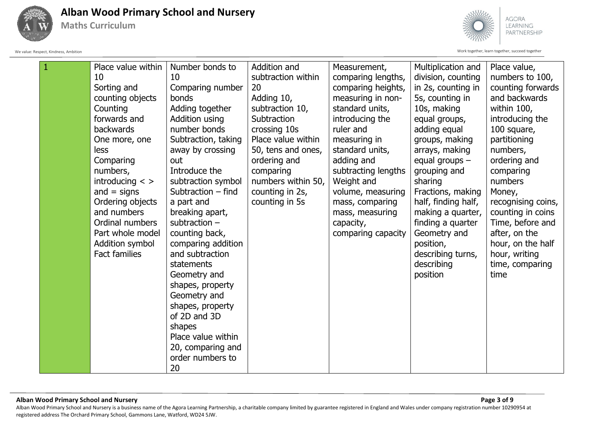

**Maths Curriculum**



We value: Respect, Kindness, Ambition Work together, learn together, succeed together

|  | Place value within   | Number bonds to     | Addition and       | Measurement,        | Multiplication and  | Place value,       |
|--|----------------------|---------------------|--------------------|---------------------|---------------------|--------------------|
|  | 10                   | 10                  | subtraction within | comparing lengths,  | division, counting  | numbers to 100,    |
|  | Sorting and          | Comparing number    | 20                 | comparing heights,  | in 2s, counting in  | counting forwards  |
|  | counting objects     | bonds               | Adding 10,         | measuring in non-   | 5s, counting in     | and backwards      |
|  | Counting             | Adding together     | subtraction 10,    | standard units,     | 10s, making         | within 100,        |
|  | forwards and         | Addition using      | Subtraction        | introducing the     | equal groups,       | introducing the    |
|  | backwards            | number bonds        | crossing 10s       | ruler and           | adding equal        | 100 square,        |
|  | One more, one        | Subtraction, taking | Place value within | measuring in        | groups, making      | partitioning       |
|  | less                 | away by crossing    | 50, tens and ones, | standard units,     | arrays, making      | numbers,           |
|  | Comparing            | out                 | ordering and       | adding and          | equal groups $-$    | ordering and       |
|  | numbers,             | Introduce the       | comparing          | subtracting lengths | grouping and        | comparing          |
|  | introducing $\lt$ >  | subtraction symbol  | numbers within 50, | Weight and          | sharing             | numbers            |
|  | and $=$ signs        | Subtraction - find  | counting in 2s,    | volume, measuring   | Fractions, making   | Money,             |
|  | Ordering objects     | a part and          | counting in 5s     | mass, comparing     | half, finding half, | recognising coins, |
|  | and numbers          | breaking apart,     |                    | mass, measuring     | making a quarter,   | counting in coins  |
|  | Ordinal numbers      | subtraction $-$     |                    | capacity,           | finding a quarter   | Time, before and   |
|  | Part whole model     | counting back,      |                    | comparing capacity  | Geometry and        | after, on the      |
|  | Addition symbol      | comparing addition  |                    |                     | position,           | hour, on the half  |
|  | <b>Fact families</b> | and subtraction     |                    |                     | describing turns,   | hour, writing      |
|  |                      | statements          |                    |                     | describing          | time, comparing    |
|  |                      | Geometry and        |                    |                     | position            | time               |
|  |                      | shapes, property    |                    |                     |                     |                    |
|  |                      | Geometry and        |                    |                     |                     |                    |
|  |                      | shapes, property    |                    |                     |                     |                    |
|  |                      | of 2D and 3D        |                    |                     |                     |                    |
|  |                      | shapes              |                    |                     |                     |                    |
|  |                      | Place value within  |                    |                     |                     |                    |
|  |                      | 20, comparing and   |                    |                     |                     |                    |
|  |                      | order numbers to    |                    |                     |                     |                    |
|  |                      | 20                  |                    |                     |                     |                    |

#### **Alban Wood Primary School and Nursery Page 3 of 9** Alban Wood Primary School and Nursery is a business name of the Agora Learning Partnership, a charitable company limited by guarantee registered in England and Wales under company registration number 10290954 at registered address The Orchard Primary School, Gammons Lane, Watford, WD24 5JW.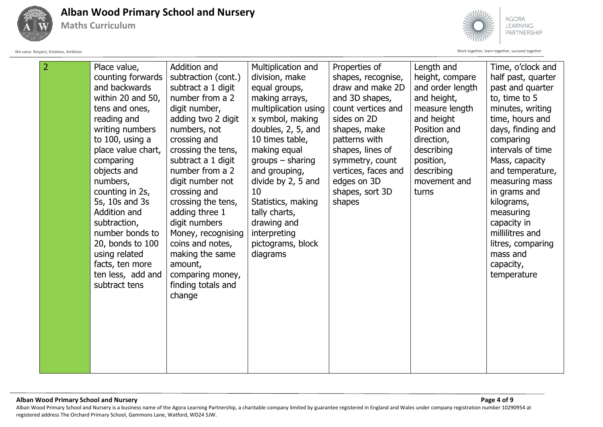

**Maths Curriculum**





| $\overline{2}$ | Place value,       | Addition and        | Multiplication and   | Properties of       | Length and       | Time, o'clock and  |
|----------------|--------------------|---------------------|----------------------|---------------------|------------------|--------------------|
|                | counting forwards  | subtraction (cont.) | division, make       | shapes, recognise,  | height, compare  | half past, quarter |
|                | and backwards      | subtract a 1 digit  | equal groups,        | draw and make 2D    | and order length | past and quarter   |
|                | within 20 and 50,  | number from a 2     | making arrays,       | and 3D shapes,      | and height,      | to, time to 5      |
|                | tens and ones,     | digit number,       | multiplication using | count vertices and  | measure length   | minutes, writing   |
|                | reading and        | adding two 2 digit  | x symbol, making     | sides on 2D         | and height       | time, hours and    |
|                | writing numbers    | numbers, not        | doubles, 2, 5, and   | shapes, make        | Position and     | days, finding and  |
|                | to 100, using a    | crossing and        | 10 times table,      | patterns with       | direction,       | comparing          |
|                | place value chart, | crossing the tens,  | making equal         | shapes, lines of    | describing       | intervals of time  |
|                | comparing          | subtract a 1 digit  | $groups - sharing$   | symmetry, count     | position,        | Mass, capacity     |
|                | objects and        | number from a 2     | and grouping,        | vertices, faces and | describing       | and temperature,   |
|                | numbers,           | digit number not    | divide by 2, 5 and   | edges on 3D         | movement and     | measuring mass     |
|                | counting in 2s,    | crossing and        | 10                   | shapes, sort 3D     | turns            | in grams and       |
|                | 5s, 10s and 3s     | crossing the tens,  | Statistics, making   | shapes              |                  | kilograms,         |
|                | Addition and       | adding three 1      | tally charts,        |                     |                  | measuring          |
|                | subtraction,       | digit numbers       | drawing and          |                     |                  | capacity in        |
|                | number bonds to    | Money, recognising  | interpreting         |                     |                  | millilitres and    |
|                | 20, bonds to 100   | coins and notes,    | pictograms, block    |                     |                  | litres, comparing  |
|                | using related      | making the same     | diagrams             |                     |                  | mass and           |
|                | facts, ten more    | amount,             |                      |                     |                  | capacity,          |
|                | ten less, add and  | comparing money,    |                      |                     |                  | temperature        |
|                | subtract tens      | finding totals and  |                      |                     |                  |                    |
|                |                    | change              |                      |                     |                  |                    |
|                |                    |                     |                      |                     |                  |                    |
|                |                    |                     |                      |                     |                  |                    |
|                |                    |                     |                      |                     |                  |                    |
|                |                    |                     |                      |                     |                  |                    |
|                |                    |                     |                      |                     |                  |                    |
|                |                    |                     |                      |                     |                  |                    |
|                |                    |                     |                      |                     |                  |                    |

**Alban Wood Primary School and Nursery Page 4 of 9** Alban Wood Primary School and Nursery is a business name of the Agora Learning Partnership, a charitable company limited by guarantee registered in England and Wales under company registration number 10290954 at registered address The Orchard Primary School, Gammons Lane, Watford, WD24 5JW.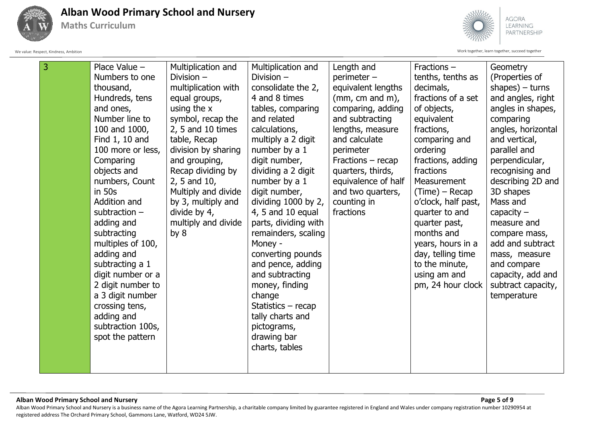

**Maths Curriculum**



We value: Respect, Kindness, Ambition Work together, learn together, succeed together

| 3 | Place Value -     | Multiplication and  | Multiplication and       | Length and          | Fractions -         | Geometry           |
|---|-------------------|---------------------|--------------------------|---------------------|---------------------|--------------------|
|   | Numbers to one    | Division $-$        | Division -               | perimeter -         | tenths, tenths as   | (Properties of     |
|   | thousand,         | multiplication with | consolidate the 2,       | equivalent lengths  | decimals,           | shapes) $-$ turns  |
|   | Hundreds, tens    | equal groups,       | 4 and 8 times            | $(mm, cm and m)$ ,  | fractions of a set  | and angles, right  |
|   | and ones,         | using the x         | tables, comparing        | comparing, adding   | of objects,         | angles in shapes,  |
|   | Number line to    | symbol, recap the   | and related              | and subtracting     | equivalent          | comparing          |
|   | 100 and 1000,     | $2, 5$ and 10 times | calculations,            | lengths, measure    | fractions,          | angles, horizontal |
|   | Find 1, 10 and    | table, Recap        | multiply a 2 digit       | and calculate       | comparing and       | and vertical,      |
|   | 100 more or less, | division by sharing | number by a 1            | perimeter           | ordering            | parallel and       |
|   | Comparing         | and grouping,       | digit number,            | Fractions - recap   | fractions, adding   | perpendicular,     |
|   | objects and       | Recap dividing by   | dividing a 2 digit       | quarters, thirds,   | fractions           | recognising and    |
|   | numbers, Count    | 2, 5 and 10,        | number by a 1            | equivalence of half | Measurement         | describing 2D and  |
|   | in 50s            | Multiply and divide | digit number,            | and two quarters,   | (Time) – Recap      | 3D shapes          |
|   | Addition and      | by 3, multiply and  | dividing $1000$ by $2$ , | counting in         | o'clock, half past, | Mass and           |
|   | subtraction $-$   | divide by 4,        | 4, 5 and 10 equal        | fractions           | quarter to and      | capacity $-$       |
|   | adding and        | multiply and divide | parts, dividing with     |                     | quarter past,       | measure and        |
|   | subtracting       | by $8$              | remainders, scaling      |                     | months and          | compare mass,      |
|   | multiples of 100, |                     | Money -                  |                     | years, hours in a   | add and subtract   |
|   | adding and        |                     | converting pounds        |                     | day, telling time   | mass, measure      |
|   | subtracting a 1   |                     | and pence, adding        |                     | to the minute,      | and compare        |
|   | digit number or a |                     | and subtracting          |                     | using am and        | capacity, add and  |
|   | 2 digit number to |                     | money, finding           |                     | pm, 24 hour clock   | subtract capacity, |
|   | a 3 digit number  |                     | change                   |                     |                     | temperature        |
|   | crossing tens,    |                     | Statistics – recap       |                     |                     |                    |
|   | adding and        |                     | tally charts and         |                     |                     |                    |
|   | subtraction 100s, |                     | pictograms,              |                     |                     |                    |
|   | spot the pattern  |                     | drawing bar              |                     |                     |                    |
|   |                   |                     | charts, tables           |                     |                     |                    |
|   |                   |                     |                          |                     |                     |                    |
|   |                   |                     |                          |                     |                     |                    |

### **Alban Wood Primary School and Nursery Page 5 of 9** Alban Wood Primary School and Nursery is a business name of the Agora Learning Partnership, a charitable company limited by guarantee registered in England and Wales under company registration number 10290954 at registered address The Orchard Primary School, Gammons Lane, Watford, WD24 5JW.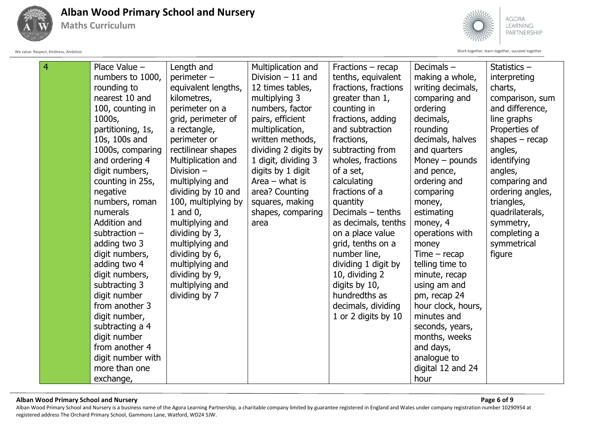

**Maths Curriculum**



We value: Respect, Kindness, Ambition Work together, learn together, succeed together

| $\overline{4}$ | Place Value -     | Length and          | Multiplication and   | Fractions - recap    | Decimals-          | Statistics $-$   |
|----------------|-------------------|---------------------|----------------------|----------------------|--------------------|------------------|
|                | numbers to 1000,  | perimeter -         | Division $-11$ and   | tenths, equivalent   | making a whole,    | interpreting     |
|                | rounding to       | equivalent lengths, | 12 times tables,     | fractions, fractions | writing decimals,  | charts,          |
|                | nearest 10 and    | kilometres,         | multiplying 3        | greater than 1,      | comparing and      | comparison, sum  |
|                | 100, counting in  | perimeter on a      | numbers, factor      | counting in          | ordering           | and difference,  |
|                | 1000s,            | grid, perimeter of  | pairs, efficient     | fractions, adding    | decimals,          | line graphs      |
|                | partitioning, 1s, | a rectangle,        | multiplication,      | and subtraction      | rounding           | Properties of    |
|                | 10s, 100s and     | perimeter or        | written methods,     | fractions,           | decimals, halves   | shapes $-$ recap |
|                | 1000s, comparing  | rectilinear shapes  | dividing 2 digits by | subtracting from     | and quarters       | angles,          |
|                | and ordering 4    | Multiplication and  | 1 digit, dividing 3  | wholes, fractions    | Money $-$ pounds   | identifying      |
|                | digit numbers,    | Division $-$        | digits by 1 digit    | of a set,            | and pence,         | angles,          |
|                | counting in 25s,  | multiplying and     | Area $-$ what is     | calculating          | ordering and       | comparing and    |
|                | negative          | dividing by 10 and  | area? Counting       | fractions of a       | comparing          | ordering angles, |
|                | numbers, roman    | 100, multiplying by | squares, making      | quantity             | money,             | triangles,       |
|                | numerals          | 1 and $0$ ,         | shapes, comparing    | Decimals $-$ tenths  | estimating         | quadrilaterals,  |
|                | Addition and      | multiplying and     | area                 | as decimals, tenths  | money, 4           | symmetry,        |
|                | subtraction $-$   | dividing by 3,      |                      | on a place value     | operations with    | completing a     |
|                | adding two 3      | multiplying and     |                      | grid, tenths on a    | money              | symmetrical      |
|                | digit numbers,    | dividing by 6,      |                      | number line,         | $Time - recap$     | figure           |
|                | adding two 4      | multiplying and     |                      | dividing 1 digit by  | telling time to    |                  |
|                | digit numbers,    | dividing by 9,      |                      | 10, dividing 2       | minute, recap      |                  |
|                | subtracting 3     | multiplying and     |                      | digits by 10,        | using am and       |                  |
|                | digit number      | dividing by 7       |                      | hundredths as        | pm, recap 24       |                  |
|                | from another 3    |                     |                      | decimals, dividing   | hour clock, hours, |                  |
|                | digit number,     |                     |                      | 1 or 2 digits by 10  | minutes and        |                  |
|                | subtracting a 4   |                     |                      |                      | seconds, years,    |                  |
|                | digit number      |                     |                      |                      | months, weeks      |                  |
|                | from another 4    |                     |                      |                      | and days,          |                  |
|                | digit number with |                     |                      |                      | analogue to        |                  |
|                | more than one     |                     |                      |                      | digital 12 and 24  |                  |
|                | exchange,         |                     |                      |                      | hour               |                  |

# **Alban Wood Primary School and Nursery Page 6 of 9**

Alban Wood Primary School and Nursery is a business name of the Agora Learning Partnership, a charitable company limited by guarantee registered in England and Wales under company registration number 10290954 at registered address The Orchard Primary School, Gammons Lane, Watford, WD24 5JW.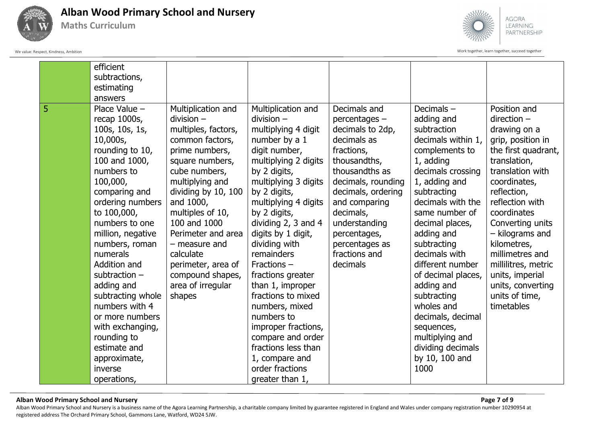

**Maths Curriculum**



We value: Respect, Kindness, Ambition Work together, learn together, succeed together

|   | efficient<br>subtractions,<br>estimating<br>answers                                                                                                                                                                                                                                                                                                                                                                                                        |                                                                                                                                                                                                                                                                                                                                                            |                                                                                                                                                                                                                                                                                                                                                                                                                                                                                                                                              |                                                                                                                                                                                                                                                                            |                                                                                                                                                                                                                                                                                                                                                                                                                                                    |                                                                                                                                                                                                                                                                                                                                                                        |
|---|------------------------------------------------------------------------------------------------------------------------------------------------------------------------------------------------------------------------------------------------------------------------------------------------------------------------------------------------------------------------------------------------------------------------------------------------------------|------------------------------------------------------------------------------------------------------------------------------------------------------------------------------------------------------------------------------------------------------------------------------------------------------------------------------------------------------------|----------------------------------------------------------------------------------------------------------------------------------------------------------------------------------------------------------------------------------------------------------------------------------------------------------------------------------------------------------------------------------------------------------------------------------------------------------------------------------------------------------------------------------------------|----------------------------------------------------------------------------------------------------------------------------------------------------------------------------------------------------------------------------------------------------------------------------|----------------------------------------------------------------------------------------------------------------------------------------------------------------------------------------------------------------------------------------------------------------------------------------------------------------------------------------------------------------------------------------------------------------------------------------------------|------------------------------------------------------------------------------------------------------------------------------------------------------------------------------------------------------------------------------------------------------------------------------------------------------------------------------------------------------------------------|
| 5 | Place Value -<br>recap 1000s,<br>100s, 10s, 1s,<br>10,000s,<br>rounding to 10,<br>100 and 1000,<br>numbers to<br>100,000,<br>comparing and<br>ordering numbers<br>to 100,000,<br>numbers to one<br>million, negative<br>numbers, roman<br>numerals<br>Addition and<br>subtraction $-$<br>adding and<br>subtracting whole<br>numbers with 4<br>or more numbers<br>with exchanging,<br>rounding to<br>estimate and<br>approximate,<br>inverse<br>operations, | Multiplication and<br>$division -$<br>multiples, factors,<br>common factors,<br>prime numbers,<br>square numbers,<br>cube numbers,<br>multiplying and<br>dividing by 10, 100<br>and 1000,<br>multiples of 10,<br>100 and 1000<br>Perimeter and area<br>- measure and<br>calculate<br>perimeter, area of<br>compound shapes,<br>area of irregular<br>shapes | Multiplication and<br>$division -$<br>multiplying 4 digit<br>number by a 1<br>digit number,<br>multiplying 2 digits<br>by 2 digits,<br>multiplying 3 digits<br>by 2 digits,<br>multiplying 4 digits<br>by 2 digits,<br>dividing $2, 3$ and $4$<br>digits by 1 digit,<br>dividing with<br>remainders<br>Fractions -<br>fractions greater<br>than 1, improper<br>fractions to mixed<br>numbers, mixed<br>numbers to<br>improper fractions,<br>compare and order<br>fractions less than<br>1, compare and<br>order fractions<br>greater than 1, | Decimals and<br>percentages -<br>decimals to 2dp,<br>decimals as<br>fractions,<br>thousandths,<br>thousandths as<br>decimals, rounding<br>decimals, ordering<br>and comparing<br>decimals,<br>understanding<br>percentages,<br>percentages as<br>fractions and<br>decimals | Decimals-<br>adding and<br>subtraction<br>decimals within 1,<br>complements to<br>1, adding<br>decimals crossing<br>1, adding and<br>subtracting<br>decimals with the<br>same number of<br>decimal places,<br>adding and<br>subtracting<br>decimals with<br>different number<br>of decimal places,<br>adding and<br>subtracting<br>wholes and<br>decimals, decimal<br>sequences,<br>multiplying and<br>dividing decimals<br>by 10, 100 and<br>1000 | Position and<br>$direction -$<br>drawing on a<br>grip, position in<br>the first quadrant,<br>translation,<br>translation with<br>coordinates,<br>reflection,<br>reflection with<br>coordinates<br>Converting units<br>- kilograms and<br>kilometres,<br>millimetres and<br>millilitres, metric<br>units, imperial<br>units, converting<br>units of time,<br>timetables |

**Alban Wood Primary School and Nursery Page 7 of 9** Alban Wood Primary School and Nursery is a business name of the Agora Learning Partnership, a charitable company limited by guarantee registered in England and Wales under company registration number 10290954 at registered address The Orchard Primary School, Gammons Lane, Watford, WD24 5JW.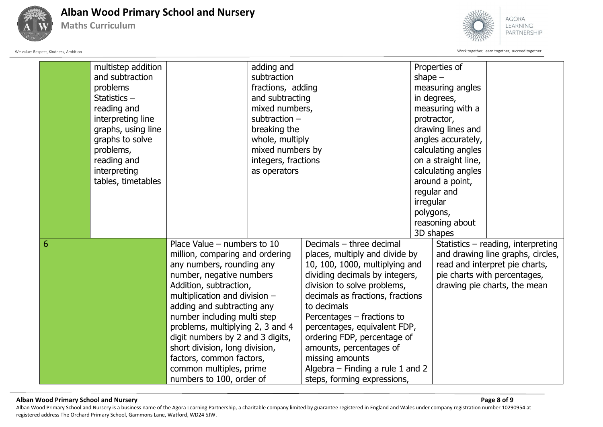

**Maths Curriculum**



We value: Respect, Kindness, Ambition Work together, learn together, succeed together

|   | multistep addition |                                  | adding and          |                                |                                    |           | Properties of                |                                    |
|---|--------------------|----------------------------------|---------------------|--------------------------------|------------------------------------|-----------|------------------------------|------------------------------------|
|   | and subtraction    |                                  | subtraction         |                                |                                    | shape $-$ |                              |                                    |
|   | problems           |                                  | fractions, adding   |                                |                                    |           | measuring angles             |                                    |
|   | Statistics-        |                                  | and subtracting     |                                |                                    |           | in degrees,                  |                                    |
|   | reading and        |                                  | mixed numbers,      |                                |                                    |           | measuring with a             |                                    |
|   | interpreting line  |                                  | subtraction $-$     |                                |                                    |           | protractor,                  |                                    |
|   | graphs, using line |                                  | breaking the        |                                |                                    |           | drawing lines and            |                                    |
|   | graphs to solve    |                                  | whole, multiply     |                                |                                    |           | angles accurately,           |                                    |
|   | problems,          |                                  | mixed numbers by    |                                |                                    |           | calculating angles           |                                    |
|   | reading and        |                                  | integers, fractions |                                |                                    |           | on a straight line,          |                                    |
|   | interpreting       |                                  | as operators        |                                |                                    |           | calculating angles           |                                    |
|   | tables, timetables |                                  |                     |                                |                                    |           | around a point,              |                                    |
|   |                    |                                  |                     |                                |                                    |           | regular and                  |                                    |
|   |                    |                                  |                     |                                |                                    | irregular |                              |                                    |
|   |                    |                                  |                     |                                |                                    |           | polygons,                    |                                    |
|   |                    |                                  |                     |                                |                                    |           | reasoning about              |                                    |
|   |                    |                                  |                     |                                |                                    |           | 3D shapes                    |                                    |
| 6 |                    | Place Value $-$ numbers to 10    |                     |                                | Decimals - three decimal           |           |                              | Statistics - reading, interpreting |
|   |                    | million, comparing and ordering  |                     |                                | places, multiply and divide by     |           |                              | and drawing line graphs, circles,  |
|   |                    | any numbers, rounding any        |                     |                                | 10, 100, 1000, multiplying and     |           |                              | read and interpret pie charts,     |
|   |                    | number, negative numbers         |                     | dividing decimals by integers, |                                    |           | pie charts with percentages, |                                    |
|   |                    | Addition, subtraction,           |                     |                                | division to solve problems,        |           |                              | drawing pie charts, the mean       |
|   |                    | multiplication and division -    |                     |                                | decimals as fractions, fractions   |           |                              |                                    |
|   |                    | adding and subtracting any       |                     | to decimals                    |                                    |           |                              |                                    |
|   |                    | number including multi step      |                     |                                | Percentages – fractions to         |           |                              |                                    |
|   |                    | problems, multiplying 2, 3 and 4 |                     |                                | percentages, equivalent FDP,       |           |                              |                                    |
|   |                    | digit numbers by 2 and 3 digits, |                     |                                | ordering FDP, percentage of        |           |                              |                                    |
|   |                    | short division, long division,   |                     |                                | amounts, percentages of            |           |                              |                                    |
|   |                    | factors, common factors,         |                     |                                | missing amounts                    |           |                              |                                    |
|   |                    | common multiples, prime          |                     |                                | Algebra $-$ Finding a rule 1 and 2 |           |                              |                                    |
|   |                    | numbers to 100, order of         |                     |                                | steps, forming expressions,        |           |                              |                                    |

### **Alban Wood Primary School and Nursery Page 8 of 9**

Alban Wood Primary School and Nursery is a business name of the Agora Learning Partnership, a charitable company limited by guarantee registered in England and Wales under company registration number 10290954 at registered address The Orchard Primary School, Gammons Lane, Watford, WD24 5JW.